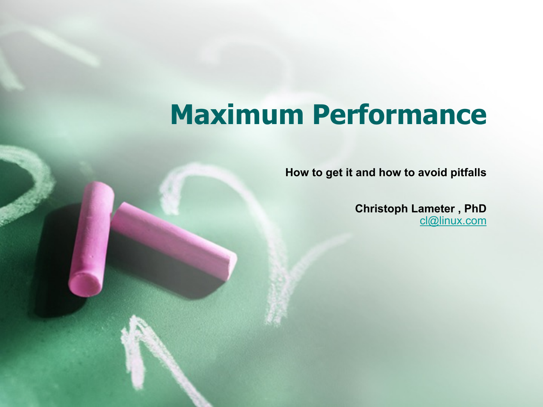# **Maximum Performance**

**How to get it and how to avoid pitfalls** 

**Christoph Lameter , PhD**  [cl@linux.com](mailto:cl@linux.com)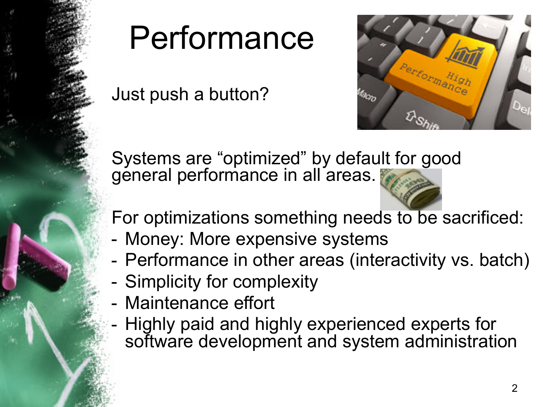

# Performance

Just push a button?



Systems are "optimized" by default for good géneral performance in all areas.

For optimizations something needs to be sacrificed:

- Money: More expensive systems
- Performance in other areas (interactivity vs. batch)
- Simplicity for complexity
- Maintenance effort
- Highly paid and highly experienced experts for software development and system administration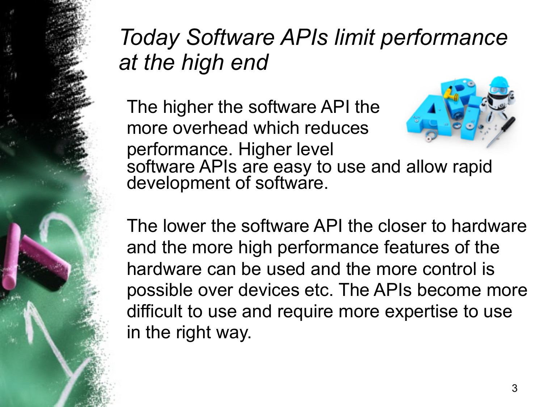## *Today Software APIs limit performance at the high end*

The higher the software API the more overhead which reduces performance. Higher level software APIs are easy to use and allow rapid development of software.

The lower the software API the closer to hardware and the more high performance features of the hardware can be used and the more control is possible over devices etc. The APIs become more difficult to use and require more expertise to use in the right way.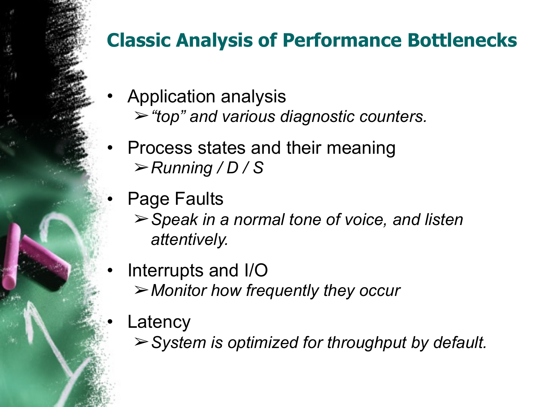#### **Classic Analysis of Performance Bottlenecks**

- Application analysis ➢*"top" and various diagnostic counters.*
- Process states and their meaning ➢*Running / D / S*
- Page Faults
	- ➢*Speak in a normal tone of voice, and listen attentively.*
- Interrupts and I/O ➢*Monitor how frequently they occur*
	- **Latency** 
		- ➢*System is optimized for throughput by default.*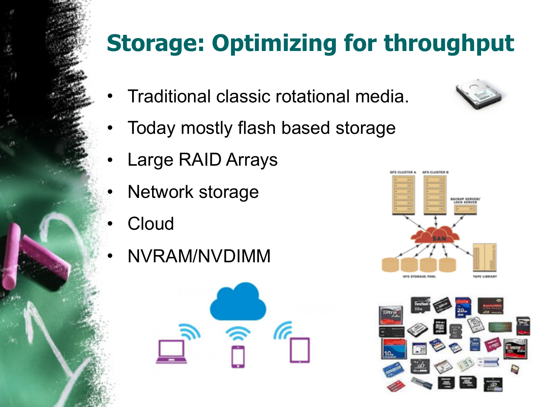# **Storage: Optimizing for throughput**

- Traditional classic rotational media.
- Today mostly flash based storage
- Large RAID Arrays
- Network storage
- **Cloud**
- NVRAM/NVDIMM







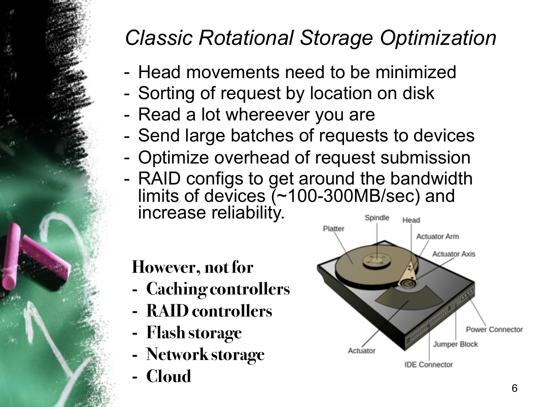### *Classic Rotational Storage Optimization*

- Head movements need to be minimized
- Sorting of request by location on disk
- Read a lot whereever you are
- Send large batches of requests to devices
- Optimize overhead of request submission
- RAID configs to get around the bandwidth limits of devices (~100-300MB/sec) and increase reliability. Spindle Head

#### **However, not for**

- **- Caching controllers**
- **- RAID controllers**
- **- Flash storage**
- **- Network storage**
- **- Cloud**

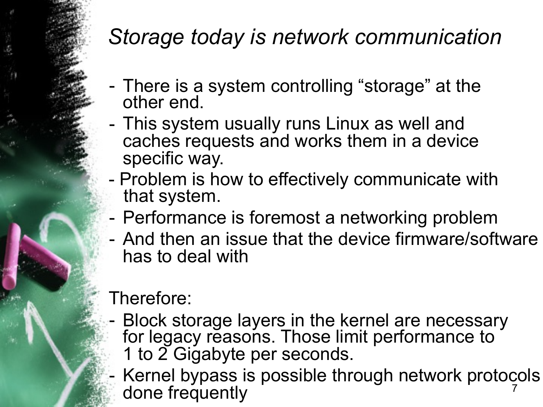#### *Storage today is network communication*

- There is a system controlling "storage" at the other end.
- This system usually runs Linux as well and caches requests and works them in a device specific way.
- Problem is how to effectively communicate with that system.
- Performance is foremost a networking problem
- And then an issue that the device firmware/software has to deal with

#### Therefore:

Block storage layers in the kernel are necessary for legacy reasons. Those limit performance to 1 to 2 Gigabyte per seconds.

7 Kernel bypass is possible through network protocols done frequently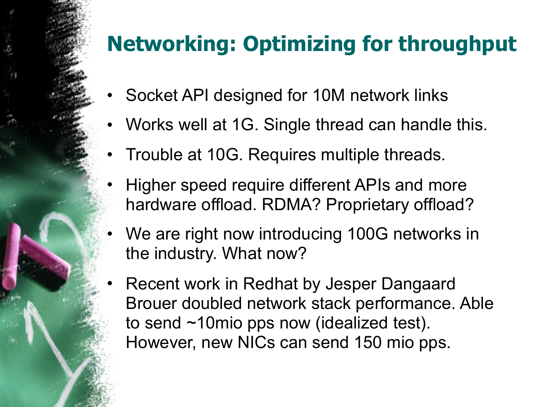### **Networking: Optimizing for throughput**

- Socket API designed for 10M network links
- Works well at 1G. Single thread can handle this.
- Trouble at 10G. Requires multiple threads.
- Higher speed require different APIs and more hardware offload. RDMA? Proprietary offload?
- We are right now introducing 100G networks in the industry. What now?
- Recent work in Redhat by Jesper Dangaard Brouer doubled network stack performance. Able to send ~10mio pps now (idealized test). However, new NICs can send 150 mio pps.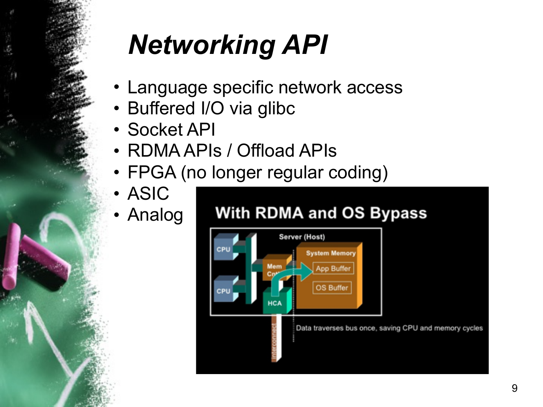# *Networking API*

- Language specific network access
- Buffered I/O via glibc
- Socket API
- RDMA APIs / Offload APIs
- FPGA (no longer regular coding)
- ASIC
- Analog

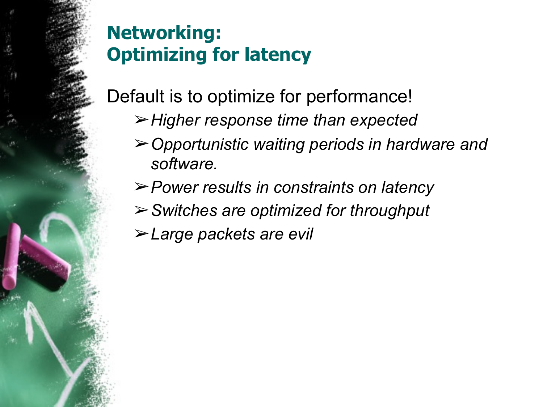#### **Networking: Optimizing for latency**

Default is to optimize for performance!

- ➢*Higher response time than expected*
- ➢*Opportunistic waiting periods in hardware and software.*
- ➢*Power results in constraints on latency*
- ➢*Switches are optimized for throughput*
- ➢*Large packets are evil*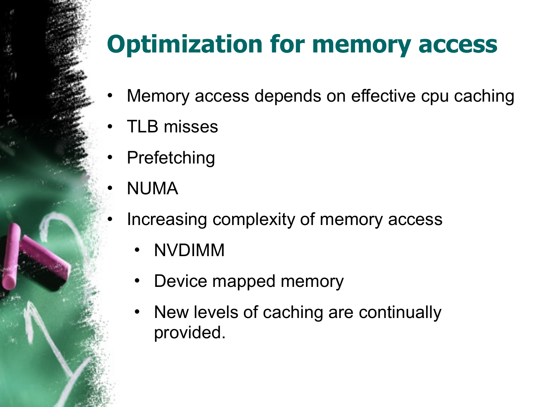# **Optimization for memory access**

- Memory access depends on effective cpu caching
- TLB misses
- **Prefetching**
- NUMA
	- Increasing complexity of memory access
		- NVDIMM
		- Device mapped memory
		- New levels of caching are continually provided.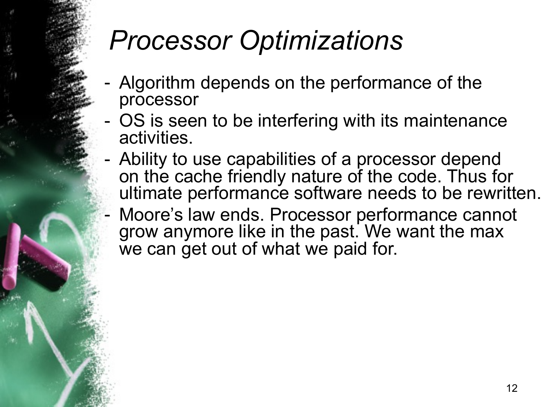# *Processor Optimizations*

- Algorithm depends on the performance of the processor
- OS is seen to be interfering with its maintenance activities.
- Ability to use capabilities of a processor depend on the cache friendly nature of the code. Thus for ultimate performance software needs to be rewritten.
- Moore's law ends. Processor performance cannot grow anymore like in the past. We want the max we can get out of what we paid for.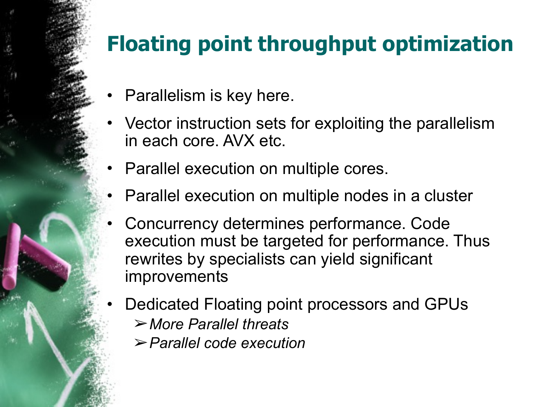### **Floating point throughput optimization**

- Parallelism is key here.
- Vector instruction sets for exploiting the parallelism in each core. AVX etc.
- Parallel execution on multiple cores.
- Parallel execution on multiple nodes in a cluster
- Concurrency determines performance. Code execution must be targeted for performance. Thus rewrites by specialists can yield significant improvements
- Dedicated Floating point processors and GPUs
	- ➢*More Parallel threats*
	- ➢*Parallel code execution*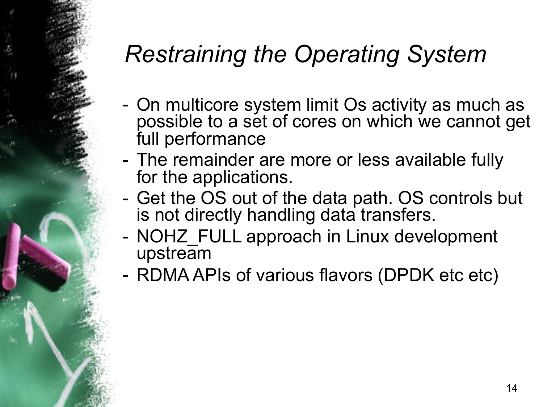## *Restraining the Operating System*

- On multicore system limit Os activity as much as possible to a set of cores on which we cannot get full performance
- The remainder are more or less available fully for the applications.
- Get the OS out of the data path. OS controls but is not directly handling data transfers.
- NOHZ FULL approach in Linux development upstream
- RDMA APIs of various flavors (DPDK etc etc)